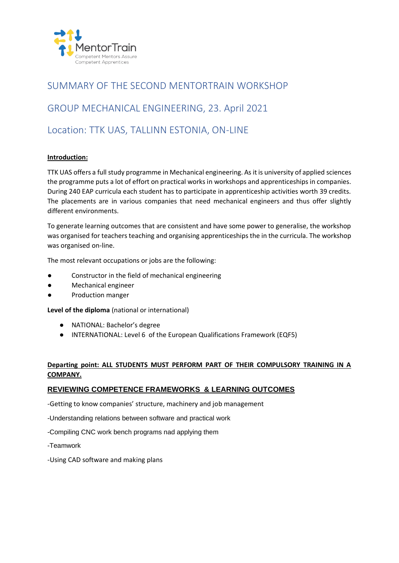

# SUMMARY OF THE SECOND MENTORTRAIN WORKSHOP

# GROUP MECHANICAL ENGINEERING, 23. April 2021

# Location: TTK UAS, TALLINN ESTONIA, ON-LINE

## **Introduction:**

TTK UAS offers a full study programme in Mechanical engineering. As it is university of applied sciences the programme puts a lot of effort on practical works in workshops and apprenticeships in companies. During 240 EAP curricula each student has to participate in apprenticeship activities worth 39 credits. The placements are in various companies that need mechanical engineers and thus offer slightly different environments.

To generate learning outcomes that are consistent and have some power to generalise, the workshop was organised for teachers teaching and organising apprenticeships the in the curricula. The workshop was organised on-line.

The most relevant occupations or jobs are the following:

- Constructor in the field of mechanical engineering
- Mechanical engineer
- Production manger

**Level of the diploma** (national or international)

- NATIONAL: Bachelor's degree
- INTERNATIONAL: Level 6 of the European Qualifications Framework (EQF5)

## **Departing point: ALL STUDENTS MUST PERFORM PART OF THEIR COMPULSORY TRAINING IN A COMPANY.**

## **REVIEWING COMPETENCE FRAMEWORKS & LEARNING OUTCOMES**

-Getting to know companies' structure, machinery and job management

- -Understanding relations between software and practical work
- -Compiling CNC work bench programs nad applying them
- -Teamwork
- -Using CAD software and making plans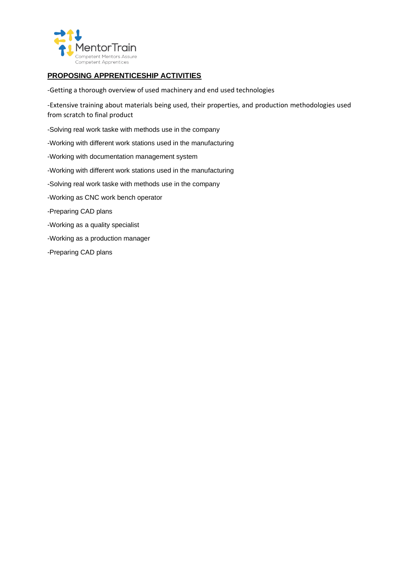

# **PROPOSING APPRENTICESHIP ACTIVITIES**

-Getting a thorough overview of used machinery and end used technologies

-Extensive training about materials being used, their properties, and production methodologies used from scratch to final product

- -Solving real work taske with methods use in the company
- -Working with different work stations used in the manufacturing
- -Working with documentation management system
- -Working with different work stations used in the manufacturing
- -Solving real work taske with methods use in the company
- -Working as CNC work bench operator
- -Preparing CAD plans
- -Working as a quality specialist
- -Working as a production manager
- -Preparing CAD plans